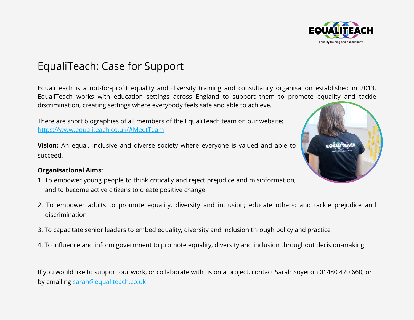

# EqualiTeach: Case for Support

EqualiTeach is a not-for-profit equality and diversity training and consultancy organisation established in 2013. EqualiTeach works with education settings across England to support them to promote equality and tackle discrimination, creating settings where everybody feels safe and able to achieve.

There are short biographies of all members of the EqualiTeach team on our website: <https://www.equaliteach.co.uk/#MeetTeam>

**Vision:** An equal, inclusive and diverse society where everyone is valued and able to succeed.

#### **Organisational Aims:**

- 1. To empower young people to think critically and reject prejudice and misinformation, and to become active citizens to create positive change
- 2. To empower adults to promote equality, diversity and inclusion; educate others; and tackle prejudice and discrimination
- 3. To capacitate senior leaders to embed equality, diversity and inclusion through policy and practice
- 4. To influence and inform government to promote equality, diversity and inclusion throughout decision-making

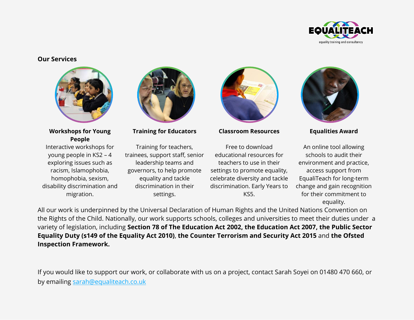

#### **Our Services**



**Workshops for Young People**

Interactive workshops for young people in KS2 – 4 exploring issues such as racism, Islamophobia, homophobia, sexism, disability discrimination and migration.



**Training for Educators Classroom Resources Equalities Award**

Training for teachers, trainees, support staff, senior leadership teams and governors, to help promote equality and tackle discrimination in their settings.



Free to download educational resources for teachers to use in their settings to promote equality, celebrate diversity and tackle discrimination. Early Years to KS5.



An online tool allowing schools to audit their environment and practice, access support from EqualiTeach for long-term change and gain recognition for their commitment to equality.

All our work is underpinned by the Universal Declaration of Human Rights and the United Nations Convention on the Rights of the Child. Nationally, our work supports schools, colleges and universities to meet their duties under a variety of legislation, including **Section 78 of The Education Act 2002, the Education Act 2007, the Public Sector Equality Duty (s149 of the Equality Act 2010)**, **the Counter Terrorism and Security Act 2015** and **the Ofsted Inspection Framework.**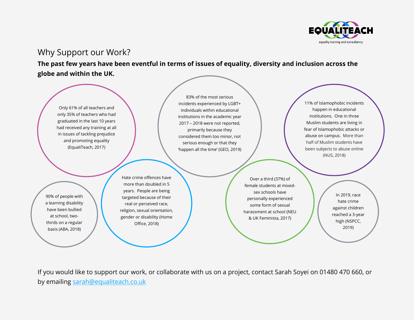

# Why Support our Work?

**The past few years have been eventful in terms of issues of equality, diversity and inclusion across the globe and within the UK.**



83% of the most serious incidents experienced by LGBT+ individuals within educational institutions in the academic year 2017 – 2018 were not reported, primarily because they considered them too minor, not serious enough or that they 'happen all the time' (GEO, 2019)

11% of Islamophobic incidents happen in educational institutions. One in three Muslim students are living in fear of Islamophobic attacks or abuse on campus. More than half of Muslim students have been subjects to abuse online (NUS, 2018)

90% of people with a learning disability have been bullied at school, twothirds on a regular basis (ABA, 2018)

more than doubled in 5 years. People are being targeted because of their real or perceived race, religion, sexual orientation, gender or disability (Home Office, 2018)

Hate crime offences have

Over a third (37%) of female students at mixedsex schools have personally experienced some form of sexual harassment at school (NEU & UK Feminista, 2017)

In 2019, race hate crime against children reached a 3-year high (NSPCC, 2019)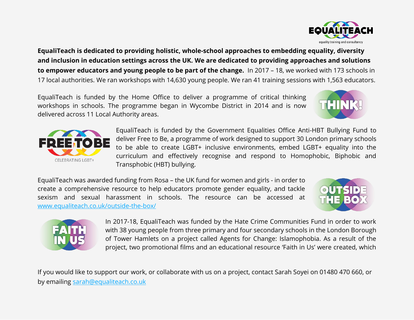**EqualiTeach is dedicated to providing holistic, whole-school approaches to embedding equality, diversity and inclusion in education settings across the UK. We are dedicated to providing approaches and solutions to empower educators and young people to be part of the change.** In 2017 – 18, we worked with 173 schools in 17 local authorities. We ran workshops with 14,630 young people. We ran 41 training sessions with 1,563 educators.

EqualiTeach is funded by the Home Office to deliver a programme of critical thinking workshops in schools. The programme began in Wycombe District in 2014 and is now delivered across 11 Local Authority areas.

> EqualiTeach is funded by the Government Equalities Office Anti-HBT Bullying Fund to deliver Free to Be, a programme of work designed to support 30 London primary schools to be able to create LGBT+ inclusive environments, embed LGBT+ equality into the curriculum and effectively recognise and respond to Homophobic, Biphobic and Transphobic (HBT) bullying.

EqualiTeach was awarded funding from Rosa – the UK fund for women and girls - in order to create a comprehensive resource to help educators promote gender equality, and tackle sexism and sexual harassment in schools. The resource can be accessed at [www.equaliteach.co.uk/outside-the-box/](http://www.equaliteach.co.uk/outside-the-box/)

> In 2017-18, EqualiTeach was funded by the Hate Crime Communities Fund in order to work with 38 young people from three primary and four secondary schools in the London Borough of Tower Hamlets on a project called Agents for Change: Islamophobia. As a result of the project, two promotional films and an educational resource 'Faith in Us' were created, which







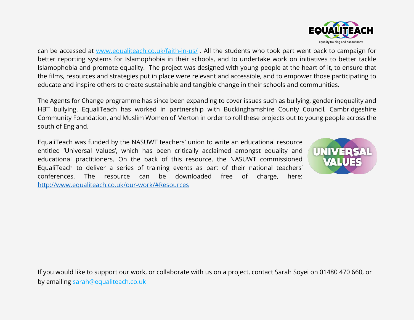can be accessed at [www.equaliteach.co.uk/faith-in-us/](http://www.equaliteach.co.uk/faith-in-us/) . All the students who took part went back to campaign for better reporting systems for Islamophobia in their schools, and to undertake work on initiatives to better tackle Islamophobia and promote equality. The project was designed with young people at the heart of it, to ensure that the films, resources and strategies put in place were relevant and accessible, and to empower those participating to educate and inspire others to create sustainable and tangible change in their schools and communities.

The Agents for Change programme has since been expanding to cover issues such as bullying, gender inequality and HBT bullying. EqualiTeach has worked in partnership with Buckinghamshire County Council, Cambridgeshire Community Foundation, and Muslim Women of Merton in order to roll these projects out to young people across the south of England.

EqualiTeach was funded by the NASUWT teachers' union to write an educational resource entitled 'Universal Values', which has been critically acclaimed amongst equality and educational practitioners. On the back of this resource, the NASUWT commissioned EqualiTeach to deliver a series of training events as part of their national teachers' conferences. The resource can be downloaded free of charge, here: <http://www.equaliteach.co.uk/our-work/#Resources>



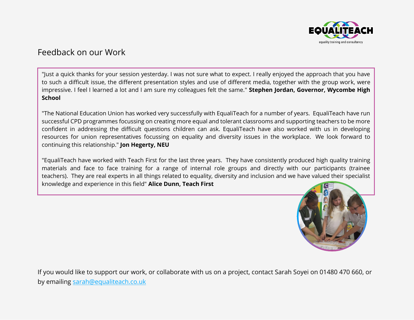

# Feedback on our Work

"Just a quick thanks for your session yesterday. I was not sure what to expect. I really enjoyed the approach that you have to such a difficult issue, the different presentation styles and use of different media, together with the group work, were impressive. I feel I learned a lot and I am sure my colleagues felt the same." **Stephen Jordan, Governor, Wycombe High School**

"The National Education Union has worked very successfully with EqualiTeach for a number of years. EqualiTeach have run successful CPD programmes focussing on creating more equal and tolerant classrooms and supporting teachers to be more confident in addressing the difficult questions children can ask. EqualiTeach have also worked with us in developing resources for union representatives focussing on equality and diversity issues in the workplace. We look forward to continuing this relationship." **Jon Hegerty, NEU**

"EqualiTeach have worked with Teach First for the last three years. They have consistently produced high quality training materials and face to face training for a range of internal role groups and directly with our participants (trainee teachers). They are real experts in all things related to equality, diversity and inclusion and we have valued their specialist knowledge and experience in this field" **Alice Dunn, Teach First**

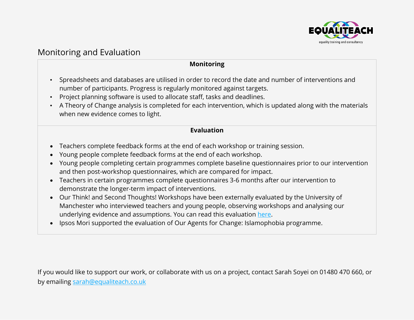

# Monitoring and Evaluation

#### **Monitoring**

- Spreadsheets and databases are utilised in order to record the date and number of interventions and number of participants. Progress is regularly monitored against targets.
- Project planning software is used to allocate staff, tasks and deadlines.
- A Theory of Change analysis is completed for each intervention, which is updated along with the materials when new evidence comes to light.

#### **Evaluation**

- Teachers complete feedback forms at the end of each workshop or training session.
- Young people complete feedback forms at the end of each workshop.
- Young people completing certain programmes complete baseline questionnaires prior to our intervention and then post-workshop questionnaires, which are compared for impact.
- Teachers in certain programmes complete questionnaires 3-6 months after our intervention to demonstrate the longer-term impact of interventions.
- Our Think! and Second Thoughts! Workshops have been externally evaluated by the University of Manchester who interviewed teachers and young people, observing workshops and analysing our underlying evidence and assumptions. You can read this evaluation [here.](http://www.equaliteach.co.uk/wp-content/uploads/Evaluation-of-EqualiTeach-Creating-Critical-Thinkers-Workshops-with-Young-People-and-Staff-Training-2017-18.pdf)
- Ipsos Mori supported the evaluation of Our Agents for Change: Islamophobia programme.